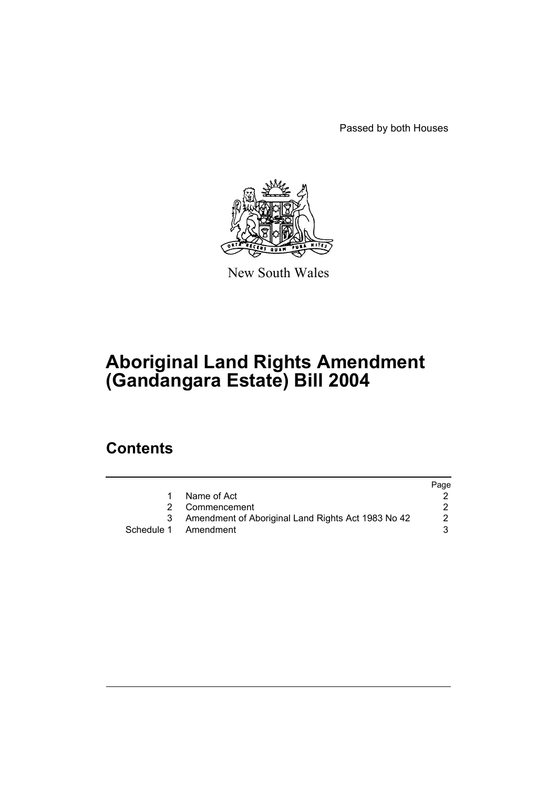Passed by both Houses



New South Wales

# **Aboriginal Land Rights Amendment (Gandangara Estate) Bill 2004**

## **Contents**

|   |                                                    | Page |
|---|----------------------------------------------------|------|
|   | Name of Act                                        |      |
|   | 2 Commencement                                     |      |
| 3 | Amendment of Aboriginal Land Rights Act 1983 No 42 | 2    |
|   | Schedule 1 Amendment                               | 3.   |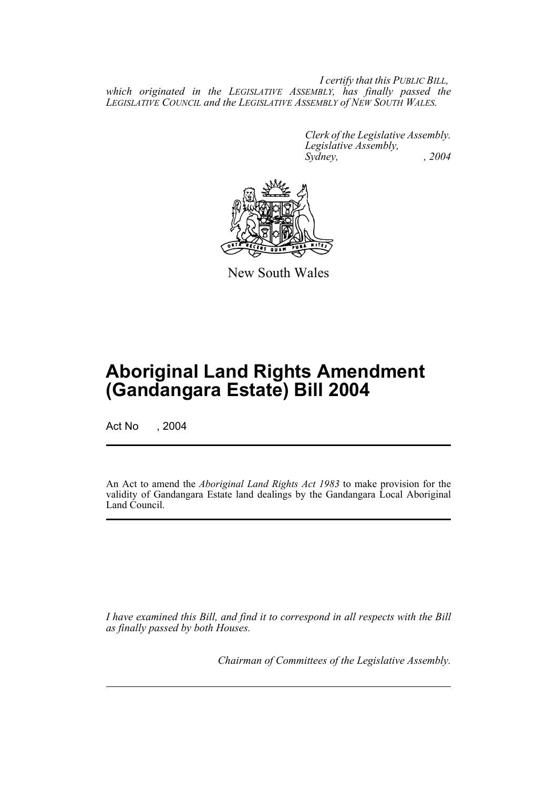*I certify that this PUBLIC BILL, which originated in the LEGISLATIVE ASSEMBLY, has finally passed the LEGISLATIVE COUNCIL and the LEGISLATIVE ASSEMBLY of NEW SOUTH WALES.*

> *Clerk of the Legislative Assembly. Legislative Assembly, Sydney, , 2004*



New South Wales

## **Aboriginal Land Rights Amendment (Gandangara Estate) Bill 2004**

Act No , 2004

An Act to amend the *Aboriginal Land Rights Act 1983* to make provision for the validity of Gandangara Estate land dealings by the Gandangara Local Aboriginal Land Council.

*I have examined this Bill, and find it to correspond in all respects with the Bill as finally passed by both Houses.*

*Chairman of Committees of the Legislative Assembly.*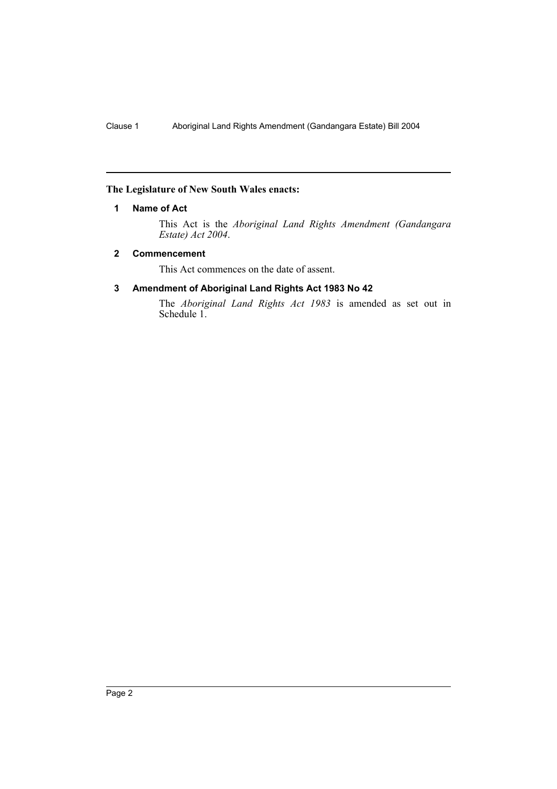### **The Legislature of New South Wales enacts:**

## **1 Name of Act**

This Act is the *Aboriginal Land Rights Amendment (Gandangara Estate) Act 2004*.

## **2 Commencement**

This Act commences on the date of assent.

## **3 Amendment of Aboriginal Land Rights Act 1983 No 42**

The *Aboriginal Land Rights Act 1983* is amended as set out in Schedule 1.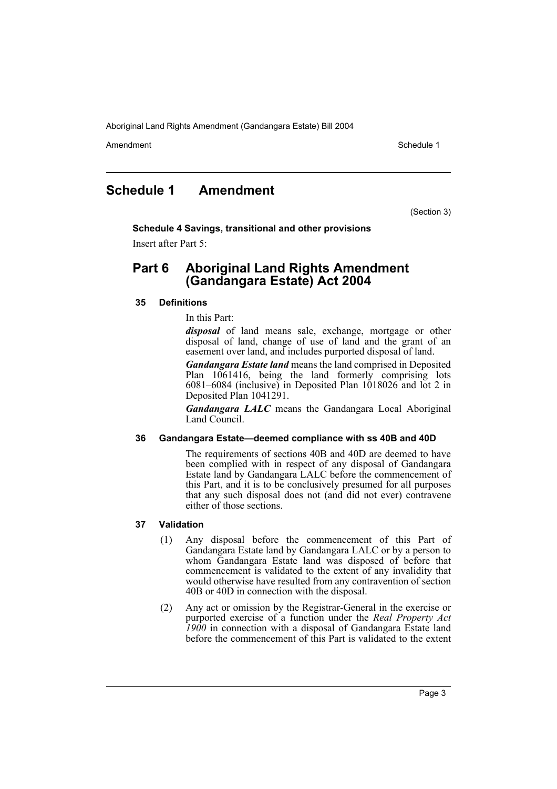Aboriginal Land Rights Amendment (Gandangara Estate) Bill 2004

Amendment **Amendment** Schedule 1

## **Schedule 1 Amendment**

(Section 3)

**Schedule 4 Savings, transitional and other provisions** Insert after Part 5:

## **Part 6 Aboriginal Land Rights Amendment (Gandangara Estate) Act 2004**

## **35 Definitions**

In this Part:

*disposal* of land means sale, exchange, mortgage or other disposal of land, change of use of land and the grant of an easement over land, and includes purported disposal of land.

*Gandangara Estate land* means the land comprised in Deposited Plan 1061416, being the land formerly comprising lots 6081–6084 (inclusive) in Deposited Plan  $1018026$  and lot 2 in Deposited Plan 1041291.

*Gandangara LALC* means the Gandangara Local Aboriginal Land Council.

#### **36 Gandangara Estate—deemed compliance with ss 40B and 40D**

The requirements of sections 40B and 40D are deemed to have been complied with in respect of any disposal of Gandangara Estate land by Gandangara LALC before the commencement of this Part, and it is to be conclusively presumed for all purposes that any such disposal does not (and did not ever) contravene either of those sections.

## **37 Validation**

- (1) Any disposal before the commencement of this Part of Gandangara Estate land by Gandangara LALC or by a person to whom Gandangara Estate land was disposed of before that commencement is validated to the extent of any invalidity that would otherwise have resulted from any contravention of section 40B or 40D in connection with the disposal.
- (2) Any act or omission by the Registrar-General in the exercise or purported exercise of a function under the *Real Property Act 1900* in connection with a disposal of Gandangara Estate land before the commencement of this Part is validated to the extent